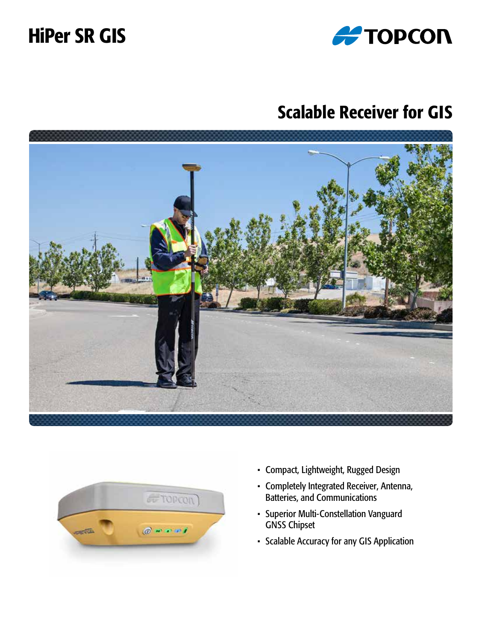

# HiPer SR GIS

## Scalable Receiver for GIS





- Compact, Lightweight, Rugged Design
- Completely Integrated Receiver, Antenna, Batteries, and Communications
- Superior Multi-Constellation Vanguard GNSS Chipset
- Scalable Accuracy for any GIS Application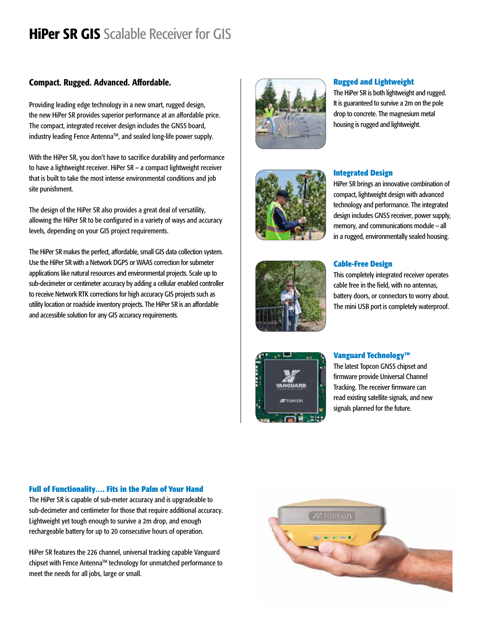### HiPer SR GIS Scalable Receiver for GIS

#### Compact. Rugged. Advanced. Affordable.

Providing leading edge technology in a new smart, rugged design, the new HiPer SR provides superior performance at an affordable price. The compact, integrated receiver design includes the GNSS board, industry leading Fence Antenna™, and sealed long-life power supply.

With the HiPer SR, you don't have to sacrifice durability and performance to have a lightweight receiver. HiPer SR – a compact lightweight receiver that is built to take the most intense environmental conditions and job site punishment.

The design of the HiPer SR also provides a great deal of versatility, allowing the HiPer SR to be configured in a variety of ways and accuracy levels, depending on your GIS project requirements.

The HiPer SR makes the perfect, affordable, small GIS data collection system. Use the HiPer SR with a Network DGPS or WAAS correction for submeter applications like natural resources and environmental projects. Scale up to sub-decimeter or centimeter accuracy by adding a cellular enabled controller to receive Network RTK corrections for high accuracy GIS projects such as utility location or roadside inventory projects. The HiPer SR is an affordable and accessible solution for any GIS accuracy requirements.



#### **Rugged and Lightweight**

The HiPer SR is both lightweight and rugged. It is guaranteed to survive a 2m on the pole drop to concrete. The magnesium metal housing is rugged and lightweight.



#### **Integrated Design**

HiPer SR brings an innovative combination of compact, lightweight design with advanced technology and performance. The integrated design includes GNSS receiver, power supply, memory, and communications module – all in a rugged, environmentally sealed housing.



#### **Cable-Free Design**

This completely integrated receiver operates cable free in the field, with no antennas, battery doors, or connectors to worry about. The mini USB port is completely waterproof.



#### **Vanguard Technology™**

The latest Topcon GNSS chipset and firmware provide Universal Channel Tracking. The receiver firmware can read existing satellite signals, and new signals planned for the future.

#### **Full of Functionality…. Fits in the Palm of Your Hand**

The HiPer SR is capable of sub-meter accuracy and is upgradeable to sub-decimeter and centimeter for those that require additional accuracy. Lightweight yet tough enough to survive a 2m drop, and enough rechargeable battery for up to 20 consecutive hours of operation.

HiPer SR features the 226 channel, universal tracking capable Vanguard chipset with Fence AntennaTM technology for unmatched performance to meet the needs for all jobs, large or small.

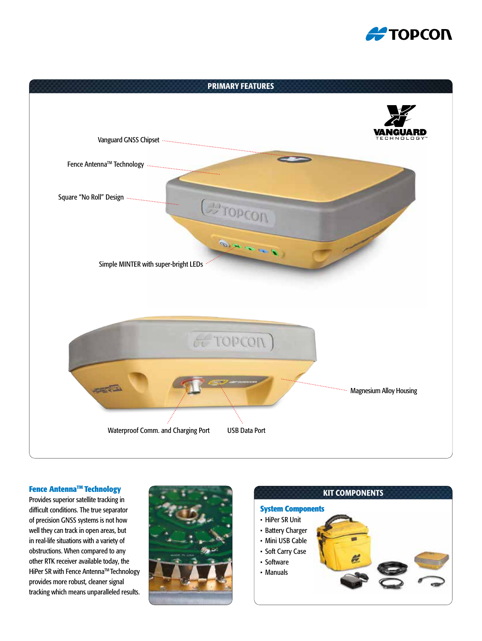



#### **Fence Antenna™ Technology**

Provides superior satellite tracking in difficult conditions. The true separator of precision GNSS systems is not how well they can track in open areas, but in real-life situations with a variety of obstructions. When compared to any other RTK receiver available today, the HiPer SR with Fence Antenna™ Technology provides more robust, cleaner signal tracking which means unparalleled results.

![](_page_2_Picture_4.jpeg)

![](_page_2_Picture_5.jpeg)